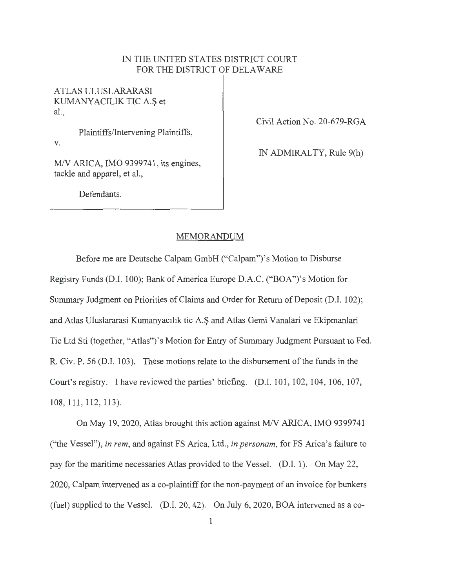### IN THE UNITED STATES DISTRICT COURT FOR THE DISTRICT OF DELAWARE

ATLAS ULUSLARARASI KUMANYACILIK TICA.Set al.,

Plaintiffs/Intervening Plaintiffs,

Civil Action No. 20-679-RGA

M/V ARICA, IMO 9399741, its engines, tackle and apparel, et al.,

IN ADMIRALTY, Rule 9(h)

Defendants.

V.

#### MEMORANDUM

Before me are Deutsche Calpam GmbH ("Calpam")'s Motion to Disburse Registry Funds (D.I. 100); Bank of America Europe D.A.C. ("BOA")'s Motion for Summary Judgment on Priorities of Claims and Order for Return of Deposit (D.I. 102); and Atlas Uluslararasi Kumanyac1hk tic A.S and Atlas Gemi V analari ve Ekipmanlari Tic Ltd Sti (together, "Atlas")'s Motion for Entry of Summary Judgment Pursuant to Fed. R. Civ. P. 56 (D.I. 103). These motions relate to the disbursement of the funds in the Court's registry. I have reviewed the parties' briefing. (D.I. 101, 102, 104, 106, 107, 108, 111, 112, 113).

On May 19, 2020, Atlas brought this action against M/V ARICA, IMO 9399741 ("the Vessel"), *in rem*, and against FS Arica, Ltd., *in personam*, for FS Arica's failure to pay for the maritime necessaries Atlas provided to the Vessel. (D.I. 1). On May 22, 2020, Calpam intervened as a co-plaintiff for the non-payment of an invoice for bunkers (fuel) supplied to the Vessel. (D.I. 20, 42). On July 6, 2020, BOA intervened as a co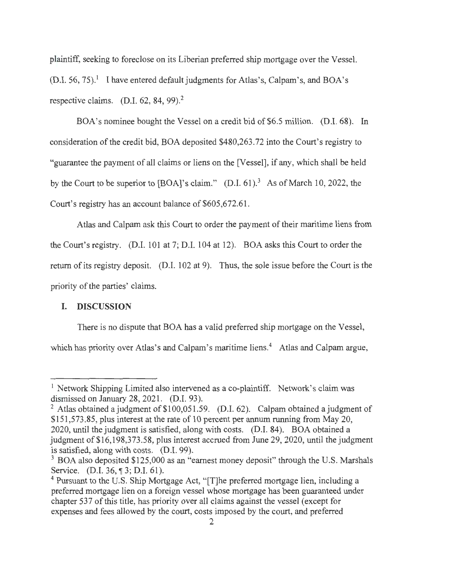plaintiff, seeking to foreclose on its Liberian preferred ship mortgage over the Vessel.  $(D.I. 56, 75).$ <sup>1</sup> I have entered default judgments for Atlas's, Calpam's, and BOA's respective claims.  $(D.I. 62, 84, 99).$ <sup>2</sup>

BOA's nominee bought the Vessel on a credit bid of \$6.5 million. (D.I. 68). In consideration of the credit bid, BOA deposited \$480,263.72 into the Court's registry to "guarantee the payment of all claims or liens on the [Vessel], if any, which shall be held by the Court to be superior to  $[BOA]$ 's claim."  $(D.I. 61)$ .<sup>3</sup> As of March 10, 2022, the Court's registry has an account balance of \$605,672.61.

Atlas and Calpam ask this Court to order the payment of their maritime liens from the Court's registry. (D.I. 101 at 7; D.I. 104 at 12). BOA asks this Court to order the return of its registry deposit. (D.I. 102 at 9). Thus, the sole issue before the Court is the priority of the parties' claims.

### **I. DISCUSSION**

There is no dispute that BOA has a valid preferred ship mortgage on the Vessel, which has priority over Atlas's and Calpam's maritime liens.<sup>4</sup> Atlas and Calpam argue,

<sup>&</sup>lt;sup>1</sup> Network Shipping Limited also intervened as a co-plaintiff. Network's claim was dismissed on January 28, 2021. (D.I. 93).

<sup>&</sup>lt;sup>2</sup> Atlas obtained a judgment of  $$100,051.59$ . (D.I. 62). Calpam obtained a judgment of \$151 ,573.85, plus interest at the rate of 10 percent per annum running from May 20, 2020, until the judgment is satisfied, along with costs. (D.I. 84). BOA obtained a judgment of \$16,198,373.58, plus interest accrued from June 29, 2020, until the judgment is satisfied, along with costs. (D.I. 99).

 $3$  BOA also deposited \$125,000 as an "earnest money deposit" through the U.S. Marshals Service. (D.I. 36, ¶ 3; D.I. 61).

<sup>&</sup>lt;sup>4</sup> Pursuant to the U.S. Ship Mortgage Act, "<sup>[T]</sup>he preferred mortgage lien, including a preferred mortgage lien on a foreign vessel whose mortgage has been guaranteed under chapter 537 of this title, has priority over all claims against the vessel (except for expenses and fees allowed by the court, costs imposed by the court, and preferred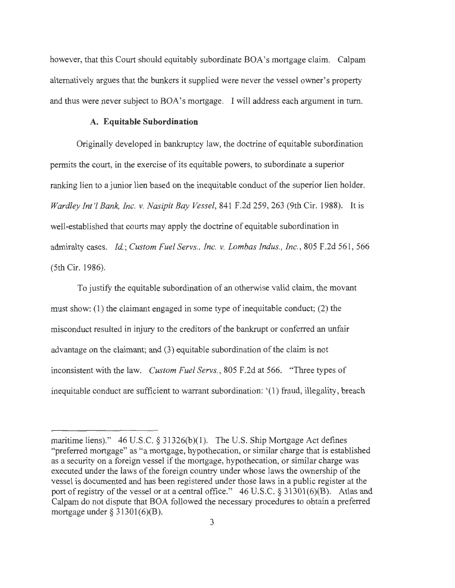however, that this Court should equitably subordinate BOA's mortgage claim. Calpam alternatively argues that the bunkers it supplied were never the vessel owner's property and thus were never subject to BOA's mortgage. I will address each argument in turn.

#### **A. Equitable Subordination**

Originally developed in bankruptcy law, the doctrine of equitable subordination permits the court, in the exercise of its equitable powers, to subordinate a superior ranking lien to a junior lien based on the inequitable conduct of the superior lien holder. *Wardley Int 'l Bank, Inc. v. Nasipit Bay Vessel,* 841 F.2d 259,263 (9th Cir. 1988). It is well-established that courts may apply the doctrine of equitable subordination in admiralty cases. *Id.*; Custom Fuel Servs., Inc. v. Lombas Indus., Inc., 805 F.2d 561, 566 (5th Cir. 1986).

To justify the equitable subordination of an otherwise valid claim, the movant must show: (1) the claimant engaged in some type of inequitable conduct; (2) the misconduct resulted in injury to the creditors of the bankrupt or conferred an unfair advantage on the claimant; and (3) equitable subordination of the claim is not inconsistent with the law. *Custom Fuel Servs.,* 805 F.2d at 566. "Three types of inequitable conduct are sufficient to warrant subordination: '(1) fraud, illegality, breach

maritime liens)." 46 U.S.C. § 31326(b)(1). The U.S. Ship Mortgage Act defines "preferred mortgage" as "a mortgage, hypothecation, or similar charge that is established as a security on a foreign vessel if the mortgage, hypothecation, or similar charge was executed under the laws of the foreign country under whose laws the ownership of the vessel is documented and has been registered under those laws in a public register at the port of registry of the vessel or at a central office."  $46$  U.S.C. § 31301(6)(B). Atlas and Calpam do not dispute that BOA followed the necessary procedures to obtain a preferred mortgage under  $\S 31301(6)$ (B).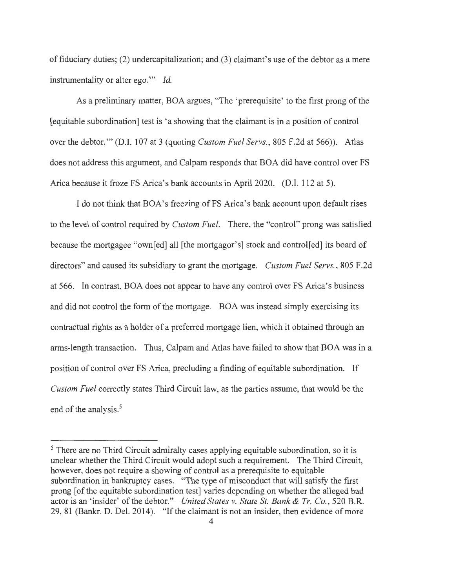of fiduciary duties; (2) undercapitalization; and (3) claimant's use of the debtor as a mere instrumentality or alter ego."' *Id.* 

As a preliminary matter, BOA argues, "The 'prerequisite' to the first prong of the [equitable subordination] test is 'a showing that the claimant is in a position of control over the debtor."' (D.I. 107 at 3 (quoting *Custom Fuel Servs.,* 805 F.2d at 566)). Atlas does not address this argument, and Calpam responds that BOA did have control over FS Arica because it froze FS Arica's bank accounts in April 2020. (D.I. 112 at 5).

I do not think that BOA's freezing of FS Arica's bank account upon default rises to the level of control required by *Custom Fuel.* There, the "control" prong was satisfied because the mortgagee "own[ed] all [the mortgagor's] stock and control[ed] its board of directors" and caused its subsidiary to grant the mortgage. *Custom Fuel Servs.*, 805 F.2d at 566. In contrast, BOA does not appear to have any control over FS Arica's business and did not control the form of the mortgage. BOA was instead simply exercising its contractual rights as a holder of a preferred mortgage lien, which it obtained through an arms-length transaction. Thus, Calpam and Atlas have failed to show that BOA was in a position of control over FS Arica, precluding a finding of equitable subordination. If *Custom Fuel* correctly states Third Circuit law, as the parties assume, that would be the end of the analysis.<sup>5</sup>

<sup>&</sup>lt;sup>5</sup> There are no Third Circuit admiralty cases applying equitable subordination, so it is unclear whether the Third Circuit would adopt such a requirement. The Third Circuit, however, does not require a showing of control as a prerequisite to equitable subordination in bankruptcy cases. "The type of misconduct that will satisfy the first prong [of the equitable subordination test] varies depending on whether the alleged bad actor is an 'insider' of the debtor." *United States v. State St. Bank & Tr. Co. ,* 520 B.R. 29, 81 (Bankr. D. Del. 2014). "If the claimant is not an insider, then evidence of more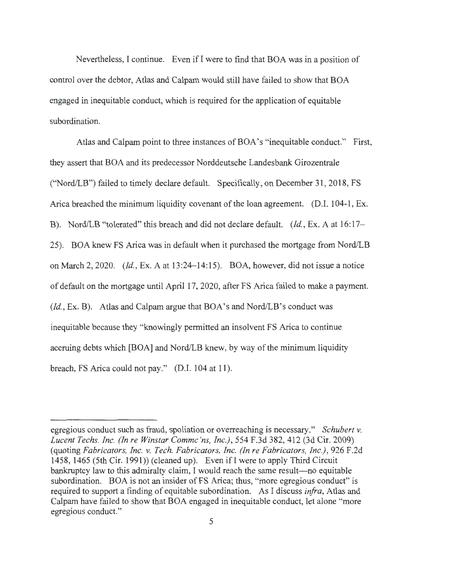Nevertheless, I continue. Even ifl were to find that BOA was in a position of control over the debtor, Atlas and Calpam would still have failed to show that BOA engaged in inequitable conduct, which is required for the application of equitable subordination.

Atlas and Calpam point to three instances of BOA's "inequitable conduct." First, they assert that BOA and its predecessor Norddeutsche Landesbank Girozentrale ("Nord/LB") failed to timely declare default. Specifically, on December 31 , 2018, FS Arica breached the minimum liquidity covenant of the loan agreement. (D.I. 104-1, Ex. B). Nord/LB "tolerated" this breach and did not declare default. *(Id. ,* Ex. A at 16:17- 25). BOA knew FS Arica was in default when it purchased the mortgage from Nord/LB on March 2, 2020. *(Id. ,* Ex. A at 13:24-14:15). BOA, however, did not issue a notice of default on the mortgage until April 17, 2020, after FS Arica failed to make a payment. *(Id., Ex. B).* Atlas and Calpam argue that BOA's and Nord/LB's conduct was inequitable because they "knowingly permitted an insolvent FS Arica to continue accruing debts which [BOA] and Nord/LB knew, by way of the minimum liquidity breach, FS Arica could not pay." (D.I. 104 at 11).

egregious conduct such as fraud, spoliation or overreaching is necessary." *Schubert v. Lucent Techs. Inc. (In re Winstar Commc 'ns, Inc.) ,* 554 F.3d 382, 412 (3d Cir. 2009) (quoting *Fabricators, Inc. v. Tech. Fabricators, Inc. (In re Fabricators, Inc.),* 926 F.2d 1458, 1465 (5th Cir. 1991)) (cleaned up). Even ifl were to apply Third Circuit bankruptcy law to this admiralty claim, I would reach the same result—no equitable subordination. BOA is not an insider of FS Arica; thus, "more egregious conduct" is required to support a finding of equitable subordination. As I discuss *infra,* Atlas and Calpam have failed to show that BOA engaged in inequitable conduct, let alone "more egregious conduct."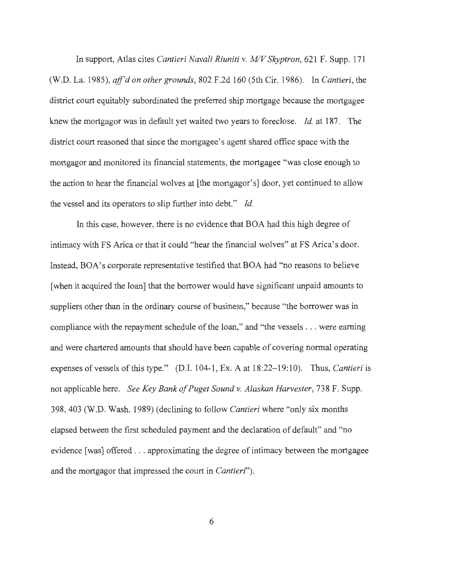In support, Atlas cites *Cantieri Navali Riuniti v. M/V Skyptron,* 621 F. Supp. 171 (W.D. La. 1985), *aff'd on other grounds,* 802 F.2d 160 (5th Cir. 1986). In *Cantieri,* the district court equitably subordinated the preferred ship mortgage because the mortgagee knew the mortgagor was in default yet waited two years to foreclose. *Id.* at 187. The district court reasoned that since the mortgagee's agent shared office space with the mortgagor and monitored its financial statements, the mortgagee "was close enough to the action to hear the financial wolves at [the mortgagor's] door, yet continued to allow the vessel and its operators to slip further into debt." *Id.* 

In this case, however, there is no evidence that BOA had this high degree of intimacy with FS Arica or that it could "hear the financial wolves" at FS Arica's door. Instead, BOA's corporate representative testified that BOA had "no reasons to believe [ when it acquired the loan] that the borrower would have significant unpaid amounts to suppliers other than in the ordinary course of business," because "the borrower was in compliance with the repayment schedule of the loan," and "the vessels ... were earning and were chartered amounts that should have been capable of covering normal operating expenses of vessels of this type." (D.I. 104-1, Ex. A at 18:22–19:10). Thus, *Cantieri* is not applicable here. *See Key Bank of Puget Sound v. Alaskan Harvester,* 738 F. Supp. 398, 403 (W.D. Wash. 1989) (declining to follow *Cantieri* where "only six months elapsed between the first scheduled payment and the declaration of default" and "no evidence [was] offered ... approximating the degree of intimacy between the mortgagee and the mortgagor that impressed the court in *Cantieri'').*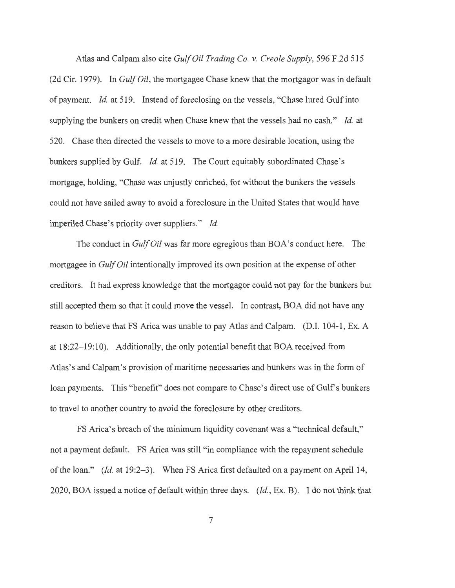Atlas and Calpam also cite *Gulf Oil Trading Co. v. Creole Supply,* 596 F.2d 515 (2d Cir. 1979). In *Gulf Oil,* the mortgagee Chase knew that the mortgagor was in default of payment. *Id.* at 519. Instead of foreclosing on the vessels, "Chase lured Gulf into supplying the bunkers on credit when Chase knew that the vessels had no cash." *Id.* at 520. Chase then directed the vessels to move to a more desirable location, using the bunkers supplied by Gulf. *Id.* at 519. The Court equitably subordinated Chase's mortgage, holding, "Chase was unjustly enriched, for without the bunkers the vessels could not have sailed away to avoid a foreclosure in the United States that would have imperiled Chase's priority over suppliers." *Id.* 

The conduct in *Gulf Oil* was far more egregious than BOA's conduct here. The mortgagee in *Gulf Oil* intentionally improved its own position at the expense of other creditors. It had express knowledge that the mortgagor could not pay for the bunkers but still accepted them so that it could move the vessel. In contrast, BOA did not have any reason to believe that FS Arica was unable to pay Atlas and Calpam. (D.I. 104-1, Ex. A at  $18:22-19:10$ . Additionally, the only potential benefit that BOA received from Atlas's and Calpam's provision of maritime necessaries and bunkers was in the form of loan payments. This "benefit" does not compare to Chase's direct use of Gulf's bunkers to travel to another country to avoid the foreclosure by other creditors.

FS Arica's breach of the minimum liquidity covenant was a "technical default," not a payment default. FS Arica was still "in compliance with the repayment schedule of the loan." *(Id.* at 19:2-3). When FS Arica first defaulted on a payment on April 14, 2020, BOA issued a notice of default within three days. *(Id. ,* Ex. B). I do not think that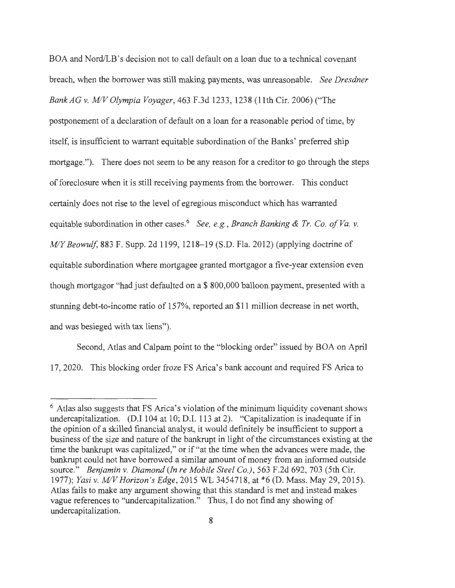BOA and Nord/LB's decision not to call default on a loan due to a technical covenant breach, when the borrower was still making payments, was unreasonable. *See Dresdner Bank AG* v. *MIV Olympia Voyager,* 463 F.3d 1233, 1238 (1 1th Cir. 2006) ("The postponement of a declaration of default on a loan for a reasonable period of time, by itself, is insufficient to warrant equitable subordination of the Banks' preferred ship mortgage."). There does not seem to be any reason for a creditor to go through the steps of foreclosure when it is still receiving payments from the borrower. This conduct certainly does not rise to the level of egregious misconduct which has warranted equitable subordination in other cases. <sup>6</sup>*See, e. g. , Branch Banking & Tr. Co. of Va.* v. *MIY Beowulf,* 883 F. Supp. 2d 1199, 1218-19 (S.D. Fla. 2012) (applying doctrine of equitable subordination where mortgagee granted mortgagor a five-year extension even though mortgagor "had just defaulted on a \$ 800,000 balloon payment, presented with a stunning debt-to-income ratio of 157%, reported an \$11 million decrease in net worth, and was besieged with tax liens").

Second, Atlas and Calpam point to the "blocking order" issued by BOA on April 17, 2020. This blocking order froze FS Arica's bank account and required FS Arica to

 $6$  Atlas also suggests that FS Arica's violation of the minimum liquidity covenant shows undercapitalization. (D.I 104 at 10; D.I. 113 at 2). "Capitalization is inadequate if in the opinion of a skilled financial analyst, it would definitely be insufficient to support a business of the size and nature of the bankrupt in light of the circumstances existing at the time the bankrupt was capitalized," or if "at the time when the advances were made, the bankrupt could not have borrowed a similar amount of money from an informed outside source." *Benjamin* v. *Diamond (In re Mobile Steel Co.),* 563 F.2d 692, 703 (5th Cir. 1977); *Yasi* v. *MIV Horizon 's Edge ,* 2015 WL 3454718, at \*6 (D. Mass. May 29, 2015). Atlas fails to make any argument showing that this standard is met and instead makes vague references to "undercapitalization." Thus, I do not find any showing of undercapitalization.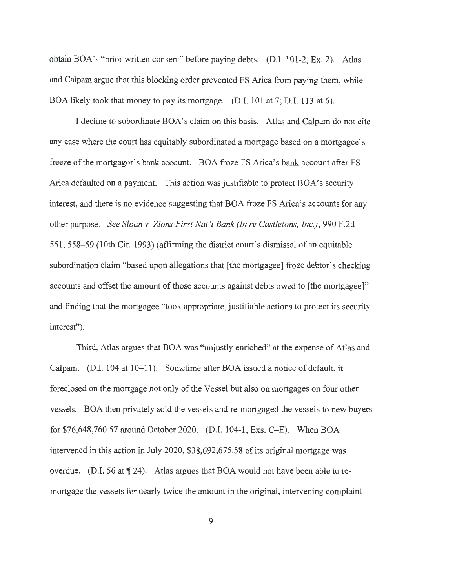obtain BOA's "prior written consent" before paying debts. (D.I. 101-2, Ex. 2). Atlas and Calpam argue that this blocking order prevented FS Arica from paying them, while BOA likely took that money to pay its mortgage. (D.I. 101 at 7; D.I. 113 at 6).

I decline to subordinate BOA's claim on this basis. Atlas and Calpam do not cite any case where the court has equitably subordinated a mortgage based on a mortgagee's freeze of the mortgagor's bank account. BOA froze FS Arica's bank account after FS Arica defaulted on a payment. This action was justifiable to protect BOA's security interest, and there is no evidence suggesting that BOA froze FS Arica's accounts for any other purpose. *See Sloan v. Zions First Nat'! Bank (In re Castletons, Inc.),* 990 F.2d 551 , 558- 59 (10th Cir. 1993) (affirming the district court's dismissal of an equitable subordination claim "based upon allegations that [the mortgagee] froze debtor's checking accounts and offset the amount of those accounts against debts owed to [the mortgagee]" and finding that the mortgagee "took appropriate, justifiable actions to protect its security interest").

Third, Atlas argues that BOA was "unjustly enriched" at the expense of Atlas and Calpam. (D.I. 104 at 10-11). Sometime after BOA issued a notice of default, it foreclosed on the mortgage not only of the Vessel but also on mortgages on four other vessels. BOA then privately sold the vessels and re-mortgaged the vessels to new buyers for \$76,648,760.57 around October 2020. (D.I. 104-1, Exs. C-E). When BOA intervened in this action in July 2020, \$38,692,675.58 of its original mortgage was overdue. (D.I. 56 at  $\P$  24). Atlas argues that BOA would not have been able to remortgage the vessels for nearly twice the amount in the original, intervening complaint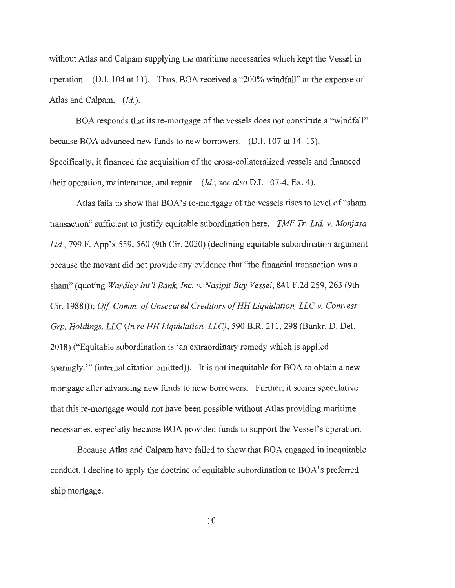without Atlas and Calpam supplying the maritime necessaries which kept the Vessel in operation. (DJ. 104 at 11). Thus, BOA received a "200% windfall" at the expense of Atlas and Calpam. *(Id.).* 

BOA responds that its re-mortgage of the vessels does not constitute a "windfall" because BOA advanced new funds to new borrowers. (D.I. 107 at 14–15). Specifically, it financed the acquisition of the cross-collateralized vessels and financed their operation, maintenance, and repair. *(Id.; see also* DJ. 107-4, Ex. 4).

Atlas fails to show that BOA's re-mortgage of the vessels rises to level of "sham" transaction" sufficient to justify equitable subordination here. *TMF Tr. Ltd. v. Monjasa Ltd. ,* 799 F. App'x 559, 560 (9th Cir. 2020) (declining equitable subordination argument because the movant did not provide any evidence that ''the financial transaction was a sham" (quoting *Wardley Int '! Bank, Inc. v. Nasipit Bay Vessel,* 841 F.2d 259,263 (9th Cir. 1988))); *Off Comm. of Unsecured Creditors of HH Liquidation, LLC v. Comvest Grp. Holdings, LLC (In re HH Liquidation, LLC),* 590 B.R. 211 , 298 (Bankr. D. Del. 2018) ("Equitable subordination is 'an extraordinary remedy which is applied sparingly."' (internal citation omitted)). It is not inequitable for BOA to obtain a new mortgage after advancing new funds to new borrowers. Further, it seems speculative that this re-mortgage would not have been possible without Atlas providing maritime necessaries, especially because BOA provided funds to support the Vessel's operation.

Because Atlas and Calpam have failed to show that BOA engaged in inequitable conduct, I decline to apply the doctrine of equitable subordination to BOA's preferred ship mortgage.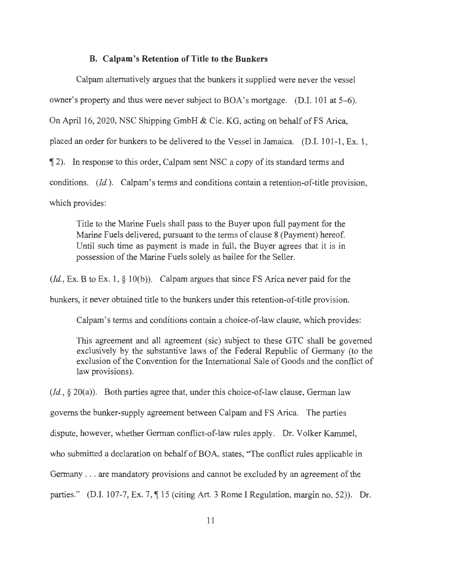### **B. Calpam's Retention of Title to the Bunkers**

Calpam alternatively argues that the bunkers it supplied were never the vessel owner's property and thus were never subject to BOA's mortgage. (D.I. 101 at 5-6). On April 16, 2020, NSC Shipping GmbH & Cie. KG, acting on behalf of FS Arica, placed an order for bunkers to be delivered to the Vessel in Jamaica. (D.I. 101-1 , Ex. 1, **1** 2). In response to this order, Calpam sent NSC a copy of its standard terms and conditions. *(Id).* Calpam's terms and conditions contain a retention-of-title provision, which provides:

Title to the Marine Fuels shall pass to the Buyer upon full payment for the Marine Fuels delivered, pursuant to the terms of clause 8 (Payment) hereof. Until such time as payment is made in full, the Buyer agrees that it is in possession of the Marine Fuels solely as bailee for the Seller.

 $(Id, Ex. B to Ex. 1, § 10(b))$ . Calpam argues that since FS Arica never paid for the

bunkers, it never obtained title to the bunkers under this retention-of-title provision.

Calpam's terms and conditions contain a choice-of-law clause, which provides:

This agreement and all agreement (sic) subject to these GTC shall be governed exclusively by the substantive laws of the Federal Republic of Germany (to the exclusion of the Convention for the International Sale of Goods and the conflict of law provisions).

*(Id,* § 20(a)). Both parties agree that, under this choice-of-law clause, German law governs the bunker-supply agreement between Calpam and FS Arica. The parties dispute, however, whether German conflict-of-law rules apply. Dr. Volker Kammel, who submitted a declaration on behalf of BOA, states, "The conflict rules applicable in Germany ... are mandatory provisions and cannot be excluded by an agreement of the parties." (D.I. 107-7, Ex. 7, **115** (citing Art. 3 Rome I Regulation, margin no. 52)). Dr.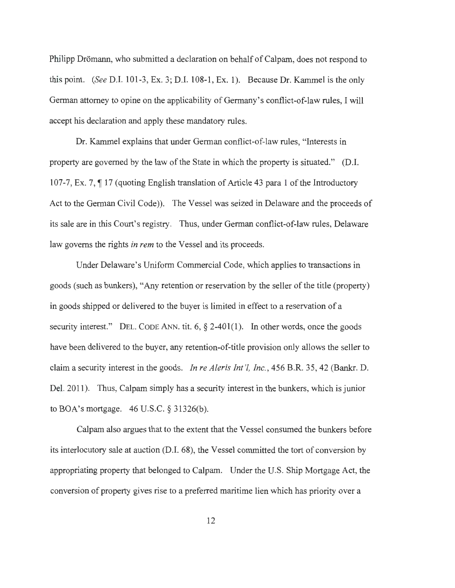Philipp Drömann, who submitted a declaration on behalf of Calpam, does not respond to this point. *(See* D.I. 101-3, Ex. 3; D.I. 108-1, Ex. 1). Because Dr. Kammel is the only German attorney to opine on the applicability of Germany's conflict-of-law rules, I will accept his declaration and apply these mandatory rules.

Dr. Kammel explains that under German conflict-of-law rules, "Interests in property are governed by the law of the State in which the property is situated." (D.I. 107-7, Ex. 7,  $\P$  17 (quoting English translation of Article 43 para 1 of the Introductory Act to the German Civil Code)). The Vessel was seized in Delaware and the proceeds of its sale are in this Court's registry. Thus, under German conflict-of-law rules, Delaware law governs the rights *in rem* to the Vessel and its proceeds.

Under Delaware's Uniform Commercial Code, which applies to transactions in goods (such as bunkers), "Any retention or reservation by the seller of the title (property) in goods shipped or delivered to the buyer is limited in effect to a reservation of a security interest." DEL. CODE ANN. tit.  $6, \S$  2-401(1). In other words, once the goods have been delivered to the buyer, any retention-of-title provision only allows the seller to claim a security interest in the goods. *In re Aleris Int '!, Inc.,* 456 B.R. 35, 42 (Bankr. D. Del. 2011). Thus, Calpam simply has a security interest in the bunkers, which is junior to BOA's mortgage. 46 U.S.C. § 31326(b).

Calpam also argues that to the extent that the Vessel consumed the bunkers before its interlocutory sale at auction (D.I. 68), the Vessel committed the tort of conversion by appropriating property that belonged to Calpam. Under the U.S. Ship Mortgage Act, the conversion of property gives rise to a preferred maritime lien which has priority over a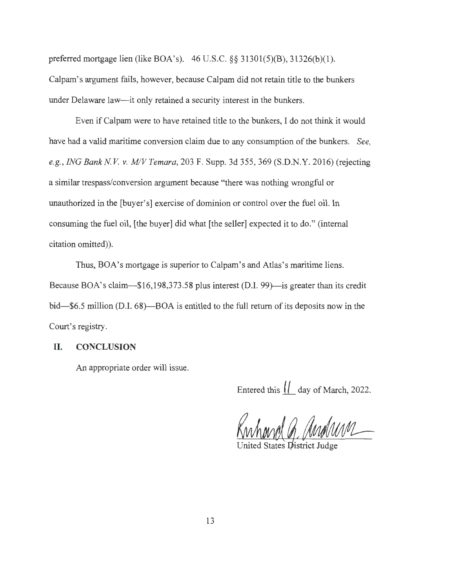preferred mortgage lien (like BOA's). 46 U.S.C. §§ 31301(5)(8), 31326(b)(l). Calpam's argument fails, however, because Calpam did not retain title to the bunkers under Delaware law-it only retained a security interest in the bunkers.

Even if Calpam were to have retained title to the bunkers, I do not think it would have had a valid maritime conversion claim due to any consumption of the bunkers. *See, e.g. , ING Bank N V v. M/VTemara,* 203 F. Supp. 3d 355, 369 (S.D.N.Y. 2016) (rejecting a similar trespass/conversion argument because "there was nothing wrongful or unauthorized in the [buyer's] exercise of dominion or control over the fuel oil. In consuming the fuel oil, [the buyer] did what [the seller] expected it to do." (internal citation omitted)).

Thus, BOA's mortgage is superior to Calpam's and Atlas's maritime liens. Because BOA's claim--\$16,198,373.58 plus interest (D.I. 99)-is greater than its credit bid-\$6.5 million (D.I. 68)-BOA is entitled to the full return of its deposits now in the Court's registry.

### **II. CONCLUSION**

An appropriate order will issue.

Entered this  $\frac{1}{2}$  day of March, 2022.

States District Juds